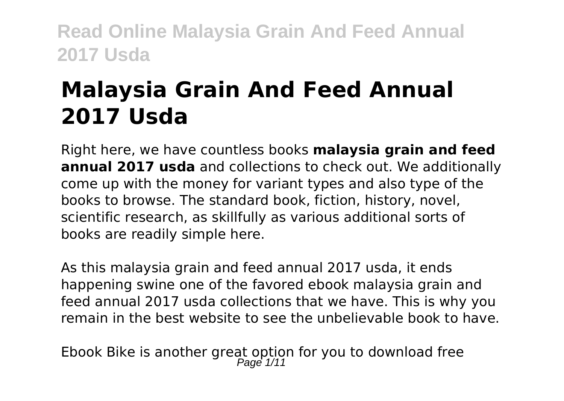# **Malaysia Grain And Feed Annual 2017 Usda**

Right here, we have countless books **malaysia grain and feed annual 2017 usda** and collections to check out. We additionally come up with the money for variant types and also type of the books to browse. The standard book, fiction, history, novel, scientific research, as skillfully as various additional sorts of books are readily simple here.

As this malaysia grain and feed annual 2017 usda, it ends happening swine one of the favored ebook malaysia grain and feed annual 2017 usda collections that we have. This is why you remain in the best website to see the unbelievable book to have.

Ebook Bike is another great option for you to download free<br>Page  $\frac{1}{11}$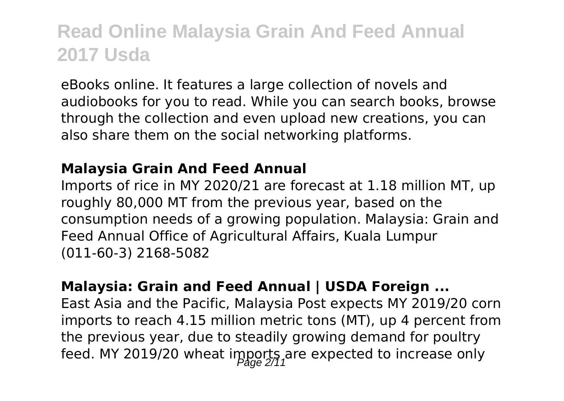eBooks online. It features a large collection of novels and audiobooks for you to read. While you can search books, browse through the collection and even upload new creations, you can also share them on the social networking platforms.

#### **Malaysia Grain And Feed Annual**

Imports of rice in MY 2020/21 are forecast at 1.18 million MT, up roughly 80,000 MT from the previous year, based on the consumption needs of a growing population. Malaysia: Grain and Feed Annual Office of Agricultural Affairs, Kuala Lumpur (011-60-3) 2168-5082

#### **Malaysia: Grain and Feed Annual | USDA Foreign ...**

East Asia and the Pacific, Malaysia Post expects MY 2019/20 corn imports to reach 4.15 million metric tons (MT), up 4 percent from the previous year, due to steadily growing demand for poultry feed. MY 2019/20 wheat imports are expected to increase only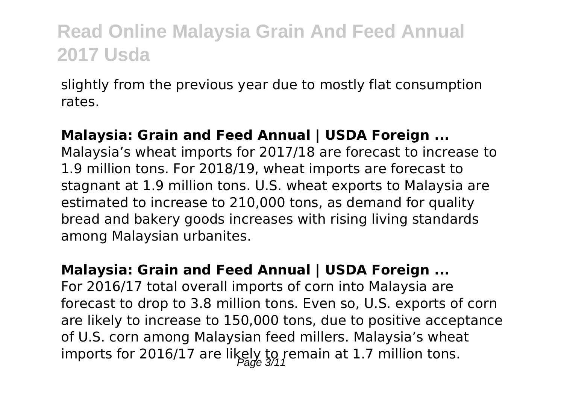slightly from the previous year due to mostly flat consumption rates.

#### **Malaysia: Grain and Feed Annual | USDA Foreign ...**

Malaysia's wheat imports for 2017/18 are forecast to increase to 1.9 million tons. For 2018/19, wheat imports are forecast to stagnant at 1.9 million tons. U.S. wheat exports to Malaysia are estimated to increase to 210,000 tons, as demand for quality bread and bakery goods increases with rising living standards among Malaysian urbanites.

#### **Malaysia: Grain and Feed Annual | USDA Foreign ...**

For 2016/17 total overall imports of corn into Malaysia are forecast to drop to 3.8 million tons. Even so, U.S. exports of corn are likely to increase to 150,000 tons, due to positive acceptance of U.S. corn among Malaysian feed millers. Malaysia's wheat imports for 2016/17 are likely to remain at 1.7 million tons.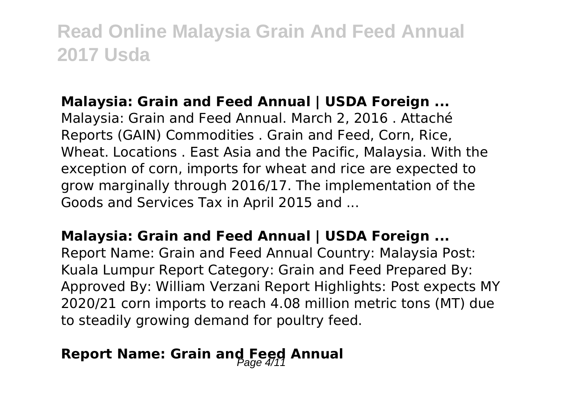#### **Malaysia: Grain and Feed Annual | USDA Foreign ...**

Malaysia: Grain and Feed Annual. March 2, 2016 . Attaché Reports (GAIN) Commodities . Grain and Feed, Corn, Rice, Wheat. Locations . East Asia and the Pacific, Malaysia. With the exception of corn, imports for wheat and rice are expected to grow marginally through 2016/17. The implementation of the Goods and Services Tax in April 2015 and ...

#### **Malaysia: Grain and Feed Annual | USDA Foreign ...**

Report Name: Grain and Feed Annual Country: Malaysia Post: Kuala Lumpur Report Category: Grain and Feed Prepared By: Approved By: William Verzani Report Highlights: Post expects MY 2020/21 corn imports to reach 4.08 million metric tons (MT) due to steadily growing demand for poultry feed.

### **Report Name: Grain and Feed Annual**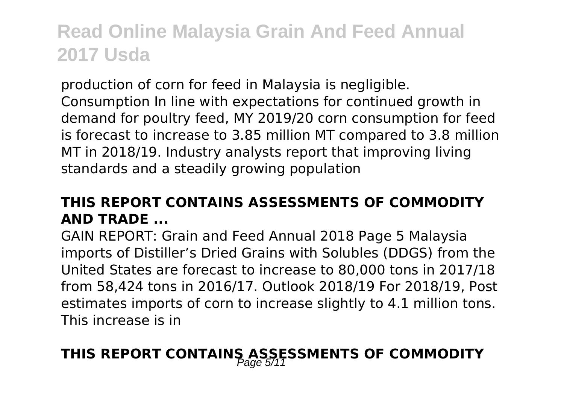production of corn for feed in Malaysia is negligible. Consumption In line with expectations for continued growth in demand for poultry feed, MY 2019/20 corn consumption for feed is forecast to increase to 3.85 million MT compared to 3.8 million MT in 2018/19. Industry analysts report that improving living standards and a steadily growing population

### **THIS REPORT CONTAINS ASSESSMENTS OF COMMODITY AND TRADE ...**

GAIN REPORT: Grain and Feed Annual 2018 Page 5 Malaysia imports of Distiller's Dried Grains with Solubles (DDGS) from the United States are forecast to increase to 80,000 tons in 2017/18 from 58,424 tons in 2016/17. Outlook 2018/19 For 2018/19, Post estimates imports of corn to increase slightly to 4.1 million tons. This increase is in

### THIS REPORT CONTAINS ASSESSMENTS OF COMMODITY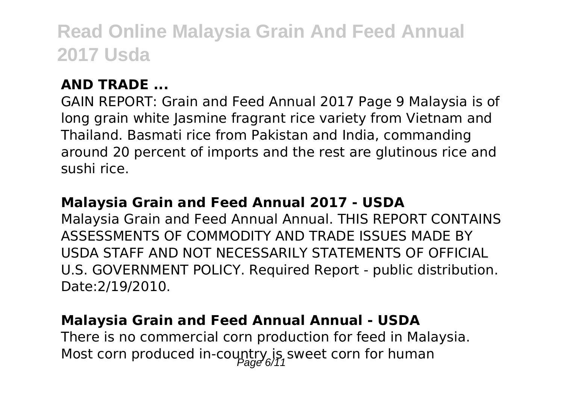#### **AND TRADE ...**

GAIN REPORT: Grain and Feed Annual 2017 Page 9 Malaysia is of long grain white Jasmine fragrant rice variety from Vietnam and Thailand. Basmati rice from Pakistan and India, commanding around 20 percent of imports and the rest are glutinous rice and sushi rice.

#### **Malaysia Grain and Feed Annual 2017 - USDA**

Malaysia Grain and Feed Annual Annual. THIS REPORT CONTAINS ASSESSMENTS OF COMMODITY AND TRADE ISSUES MADE BY USDA STAFF AND NOT NECESSARILY STATEMENTS OF OFFICIAL U.S. GOVERNMENT POLICY. Required Report - public distribution. Date:2/19/2010.

#### **Malaysia Grain and Feed Annual Annual - USDA**

There is no commercial corn production for feed in Malaysia. Most corn produced in-country is sweet corn for human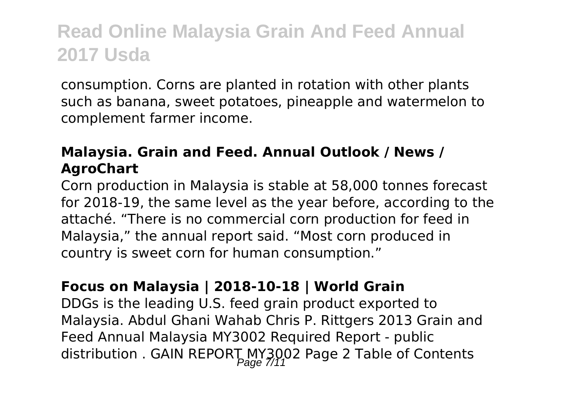consumption. Corns are planted in rotation with other plants such as banana, sweet potatoes, pineapple and watermelon to complement farmer income.

### **Malaysia. Grain and Feed. Annual Outlook / News / AgroChart**

Corn production in Malaysia is stable at 58,000 tonnes forecast for 2018-19, the same level as the year before, according to the attaché. "There is no commercial corn production for feed in Malaysia," the annual report said. "Most corn produced in country is sweet corn for human consumption."

#### **Focus on Malaysia | 2018-10-18 | World Grain**

DDGs is the leading U.S. feed grain product exported to Malaysia. Abdul Ghani Wahab Chris P. Rittgers 2013 Grain and Feed Annual Malaysia MY3002 Required Report - public distribution . GAIN REPORT MY3002 Page 2 Table of Contents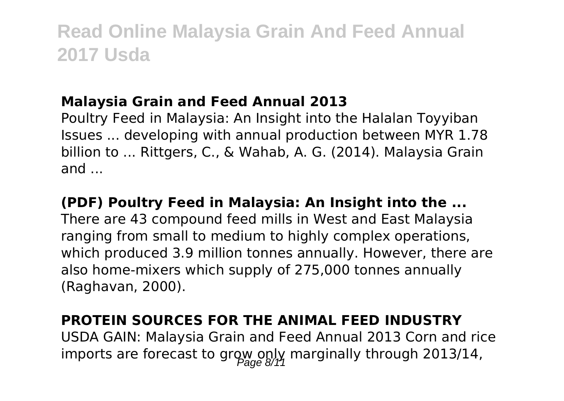#### **Malaysia Grain and Feed Annual 2013**

Poultry Feed in Malaysia: An Insight into the Halalan Toyyiban Issues ... developing with annual production between MYR 1.78 billion to ... Rittgers, C., & Wahab, A. G. (2014). Malaysia Grain and ...

#### **(PDF) Poultry Feed in Malaysia: An Insight into the ...**

There are 43 compound feed mills in West and East Malaysia ranging from small to medium to highly complex operations, which produced 3.9 million tonnes annually. However, there are also home-mixers which supply of 275,000 tonnes annually (Raghavan, 2000).

#### **PROTEIN SOURCES FOR THE ANIMAL FEED INDUSTRY**

USDA GAIN: Malaysia Grain and Feed Annual 2013 Corn and rice imports are forecast to grow only marginally through 2013/14,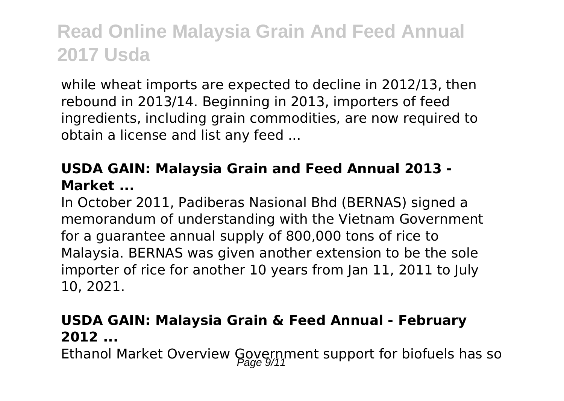while wheat imports are expected to decline in 2012/13, then rebound in 2013/14. Beginning in 2013, importers of feed ingredients, including grain commodities, are now required to obtain a license and list any feed ...

### **USDA GAIN: Malaysia Grain and Feed Annual 2013 - Market ...**

In October 2011, Padiberas Nasional Bhd (BERNAS) signed a memorandum of understanding with the Vietnam Government for a guarantee annual supply of 800,000 tons of rice to Malaysia. BERNAS was given another extension to be the sole importer of rice for another 10 years from Jan 11, 2011 to July 10, 2021.

### **USDA GAIN: Malaysia Grain & Feed Annual - February 2012 ...**

Ethanol Market Overview Government support for biofuels has so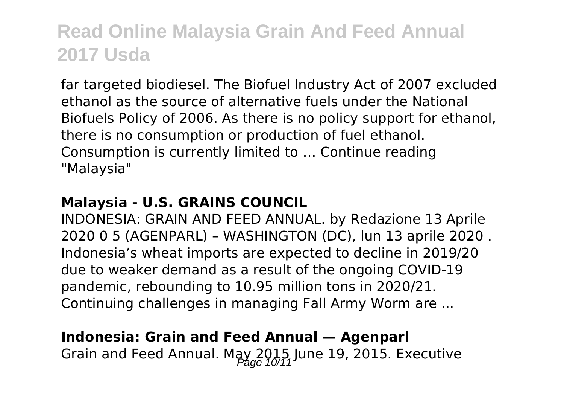far targeted biodiesel. The Biofuel Industry Act of 2007 excluded ethanol as the source of alternative fuels under the National Biofuels Policy of 2006. As there is no policy support for ethanol, there is no consumption or production of fuel ethanol. Consumption is currently limited to … Continue reading "Malaysia"

#### **Malaysia - U.S. GRAINS COUNCIL**

INDONESIA: GRAIN AND FEED ANNUAL. by Redazione 13 Aprile 2020 0 5 (AGENPARL) – WASHINGTON (DC), lun 13 aprile 2020 . Indonesia's wheat imports are expected to decline in 2019/20 due to weaker demand as a result of the ongoing COVID-19 pandemic, rebounding to 10.95 million tons in 2020/21. Continuing challenges in managing Fall Army Worm are ...

#### **Indonesia: Grain and Feed Annual — Agenparl**

Grain and Feed Annual. May 2015, June 19, 2015. Executive